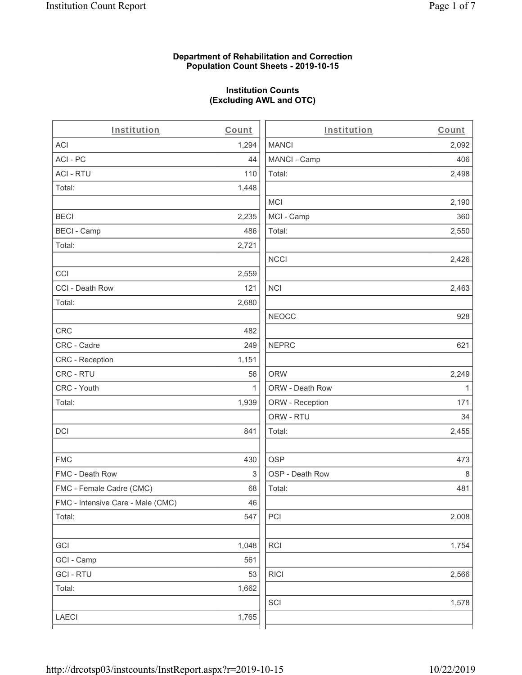#### **Department of Rehabilitation and Correction Population Count Sheets - 2019-10-15**

# **Institution Counts (Excluding AWL and OTC)**

 $\overline{a}$ 

| Institution                       | Count | Institution     | Count        |
|-----------------------------------|-------|-----------------|--------------|
| <b>ACI</b>                        | 1,294 | <b>MANCI</b>    | 2,092        |
| ACI-PC                            | 44    | MANCI - Camp    | 406          |
| <b>ACI - RTU</b>                  | 110   | Total:          | 2,498        |
| Total:                            | 1,448 |                 |              |
|                                   |       | MCI             | 2,190        |
| <b>BECI</b>                       | 2,235 | MCI - Camp      | 360          |
| <b>BECI - Camp</b>                | 486   | Total:          | 2,550        |
| Total:                            | 2,721 |                 |              |
|                                   |       | <b>NCCI</b>     | 2,426        |
| CCI                               | 2,559 |                 |              |
| CCI - Death Row                   | 121   | <b>NCI</b>      | 2,463        |
| Total:                            | 2,680 |                 |              |
|                                   |       | <b>NEOCC</b>    | 928          |
| <b>CRC</b>                        | 482   |                 |              |
| CRC - Cadre                       | 249   | <b>NEPRC</b>    | 621          |
| <b>CRC</b> - Reception            | 1,151 |                 |              |
| CRC - RTU                         | 56    | <b>ORW</b>      | 2,249        |
| CRC - Youth                       | 1     | ORW - Death Row | $\mathbf{1}$ |
| Total:                            | 1,939 | ORW - Reception | 171          |
|                                   |       | ORW - RTU       | 34           |
| DCI                               | 841   | Total:          | 2,455        |
| <b>FMC</b>                        | 430   | <b>OSP</b>      | 473          |
| FMC - Death Row                   | 3     | OSP - Death Row | 8            |
| FMC - Female Cadre (CMC)          | 68    | Total:          | 481          |
| FMC - Intensive Care - Male (CMC) | 46    |                 |              |
| Total:                            | 547   | PCI             | 2,008        |
| GCI                               | 1,048 | <b>RCI</b>      | 1,754        |
| GCI - Camp                        | 561   |                 |              |
| <b>GCI - RTU</b>                  | 53    | <b>RICI</b>     | 2,566        |
| Total:                            | 1,662 |                 |              |
|                                   |       | SCI             | 1,578        |
| LAECI                             | 1,765 |                 |              |
|                                   |       |                 |              |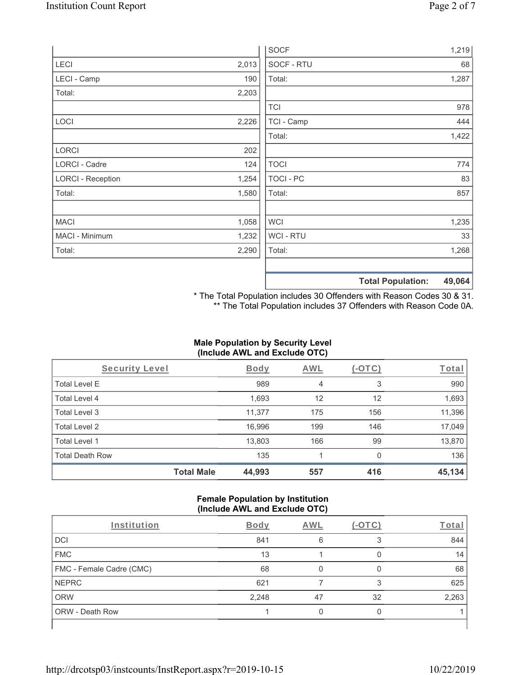|                          |       | <b>SOCF</b>    | 1,219                              |
|--------------------------|-------|----------------|------------------------------------|
| LECI                     | 2,013 | SOCF - RTU     | 68                                 |
| LECI - Camp              | 190   | Total:         | 1,287                              |
| Total:                   | 2,203 |                |                                    |
|                          |       | <b>TCI</b>     | 978                                |
| LOCI                     | 2,226 | TCI - Camp     | 444                                |
|                          |       | Total:         | 1,422                              |
| LORCI                    | 202   |                |                                    |
| LORCI - Cadre            | 124   | <b>TOCI</b>    | 774                                |
| <b>LORCI - Reception</b> | 1,254 | TOCI - PC      | 83                                 |
| Total:                   | 1,580 | Total:         | 857                                |
| <b>MACI</b>              | 1,058 | <b>WCI</b>     | 1,235                              |
| MACI - Minimum           | 1,232 | <b>WCI-RTU</b> | 33                                 |
| Total:                   | 2,290 | Total:         | 1,268                              |
|                          |       |                | 49,064<br><b>Total Population:</b> |

\* The Total Population includes 30 Offenders with Reason Codes 30 & 31. \*\* The Total Population includes 37 Offenders with Reason Code 0A.

# **Male Population by Security Level (Include AWL and Exclude OTC)**

| Security Level         |                   | <b>Body</b> | AWL | $(-\text{OTC})$ | Total  |
|------------------------|-------------------|-------------|-----|-----------------|--------|
| <b>Total Level E</b>   |                   | 989         | 4   | 3               | 990    |
| <b>Total Level 4</b>   |                   | 1,693       | 12  | 12              | 1,693  |
| Total Level 3          |                   | 11,377      | 175 | 156             | 11,396 |
| Total Level 2          |                   | 16,996      | 199 | 146             | 17,049 |
| Total Level 1          |                   | 13,803      | 166 | 99              | 13,870 |
| <b>Total Death Row</b> |                   | 135         |     | $\Omega$        | 136    |
|                        | <b>Total Male</b> | 44,993      | 557 | 416             | 45,134 |

#### **Female Population by Institution (Include AWL and Exclude OTC)**

| Institution              | <b>Body</b> | <b>AWL</b> | $-()$ | Total |
|--------------------------|-------------|------------|-------|-------|
| <b>DCI</b>               | 841         | 6          |       | 844   |
| <b>FMC</b>               | 13          |            |       | 14    |
| FMC - Female Cadre (CMC) | 68          |            |       | 68    |
| <b>NEPRC</b>             | 621         |            |       | 625   |
| <b>ORW</b>               | 2,248       | 47         | 32    | 2,263 |
| <b>ORW - Death Row</b>   |             |            |       |       |
|                          |             |            |       |       |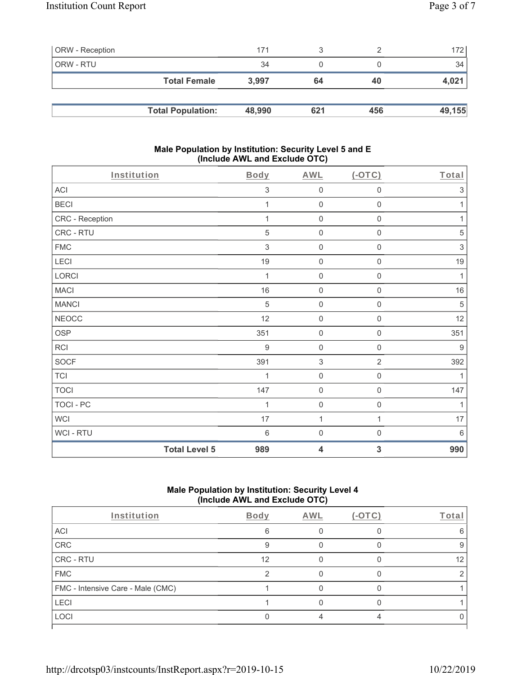| <b>ORW</b> - Reception |                          | 171    |     |     | 172    |
|------------------------|--------------------------|--------|-----|-----|--------|
| ORW - RTU              |                          | 34     |     |     | 34     |
|                        | <b>Total Female</b>      | 3.997  | 64  | 40  | 4,021  |
|                        |                          |        |     |     |        |
|                        | <b>Total Population:</b> | 48,990 | 621 | 456 | 49,155 |

#### **Male Population by Institution: Security Level 5 and E (Include AWL and Exclude OTC)**

| Institution          | <b>Body</b>     | <b>AWL</b>          | (OTC)               | Total            |
|----------------------|-----------------|---------------------|---------------------|------------------|
| ACI                  | $\sqrt{3}$      | $\mathbf 0$         | $\mathbf 0$         | $\mathfrak{S}$   |
| <b>BECI</b>          | 1               | $\mathbf 0$         | $\mathsf 0$         | 1                |
| CRC - Reception      | 1               | $\mathbf 0$         | $\mathsf{O}\xspace$ | 1                |
| CRC - RTU            | 5               | $\mathsf{O}\xspace$ | $\mathsf{O}\xspace$ | 5                |
| <b>FMC</b>           | 3               | $\mathbf 0$         | 0                   | 3                |
| LECI                 | 19              | $\mathbf 0$         | $\mathsf 0$         | 19               |
| LORCI                | 1               | $\mathbf 0$         | $\mathsf{O}\xspace$ | 1                |
| <b>MACI</b>          | 16              | $\mathbf 0$         | $\mathsf{O}\xspace$ | 16               |
| <b>MANCI</b>         | 5               | $\mathbf 0$         | $\mathsf{O}\xspace$ | $\sqrt{5}$       |
| <b>NEOCC</b>         | 12              | $\mathbf 0$         | $\mathsf{O}\xspace$ | 12               |
| OSP                  | 351             | $\mathsf{O}\xspace$ | 0                   | 351              |
| RCI                  | $9\,$           | $\mathbf 0$         | $\mathbf 0$         | $\boldsymbol{9}$ |
| <b>SOCF</b>          | 391             | $\sqrt{3}$          | $\overline{2}$      | 392              |
| <b>TCI</b>           | 1               | $\mathsf{O}\xspace$ | $\mathsf{O}\xspace$ | 1                |
| <b>TOCI</b>          | 147             | $\mathbf 0$         | $\mathsf{O}\xspace$ | 147              |
| TOCI - PC            | 1               | $\mathbf 0$         | $\,0\,$             | 1                |
| <b>WCI</b>           | 17              | $\mathbf{1}$        | 1                   | $17$             |
| WCI - RTU            | $6\phantom{1}6$ | $\mathsf{O}\xspace$ | $\mathsf{O}\xspace$ | $6\,$            |
| <b>Total Level 5</b> | 989             | 4                   | 3                   | 990              |

# **Male Population by Institution: Security Level 4 (Include AWL and Exclude OTC)**

| Institution                       | Body | <b>AWL</b> | $(-\text{OTC})$ | Total |
|-----------------------------------|------|------------|-----------------|-------|
| ACI                               | 6    |            |                 |       |
| CRC                               |      |            |                 |       |
| CRC - RTU                         | 12   |            |                 | 12    |
| <b>FMC</b>                        |      |            |                 |       |
| FMC - Intensive Care - Male (CMC) |      |            |                 |       |
| <b>LECI</b>                       |      |            |                 |       |
| LOCI                              |      |            |                 |       |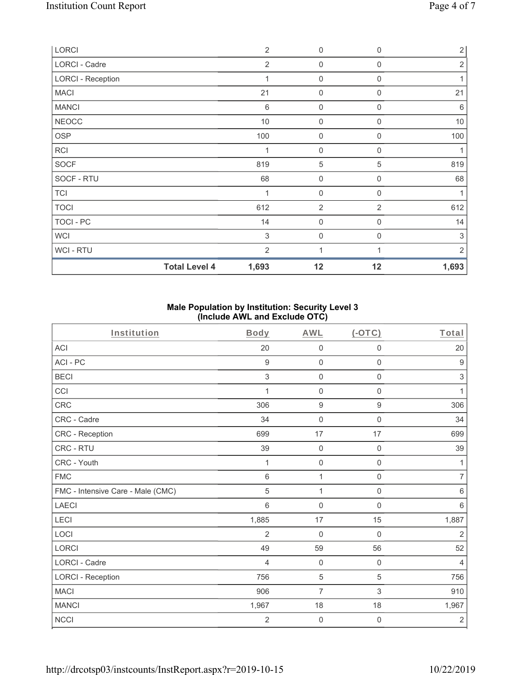| LORCI                    | $\overline{2}$  | $\mathbf 0$      | $\mathbf 0$    | $\overline{2}$ |
|--------------------------|-----------------|------------------|----------------|----------------|
| LORCI - Cadre            | $\overline{2}$  | $\mathbf 0$      | $\mathbf 0$    | $\overline{2}$ |
| <b>LORCI - Reception</b> | 1               | $\mathbf 0$      | $\Omega$       |                |
| <b>MACI</b>              | 21              | 0                | 0              | 21             |
| <b>MANCI</b>             | $6\phantom{1}6$ | $\mathbf 0$      | $\mathbf 0$    | $\,6\,$        |
| <b>NEOCC</b>             | 10              | 0                | 0              | $10$           |
| <b>OSP</b>               | 100             | $\mathbf 0$      | 0              | 100            |
| <b>RCI</b>               | 1               | $\mathbf 0$      | 0              | 1              |
| <b>SOCF</b>              | 819             | 5                | 5              | 819            |
| SOCF - RTU               | 68              | $\boldsymbol{0}$ | 0              | 68             |
| <b>TCI</b>               | 1               | 0                | $\mathbf 0$    | 1              |
| <b>TOCI</b>              | 612             | $\overline{2}$   | $\overline{2}$ | 612            |
| TOCI - PC                | 14              | $\boldsymbol{0}$ | 0              | 14             |
| <b>WCI</b>               | 3               | 0                | $\mathbf 0$    | 3              |
| WCI - RTU                | $\overline{2}$  | 1                |                | 2              |
| <b>Total Level 4</b>     | 1,693           | 12               | 12             | 1,693          |

## **Male Population by Institution: Security Level 3 (Include AWL and Exclude OTC)**

| Institution                       | <b>Body</b>    | <b>AWL</b>          | (OTC)               | Total            |
|-----------------------------------|----------------|---------------------|---------------------|------------------|
| <b>ACI</b>                        | 20             | $\mathbf 0$         | $\boldsymbol{0}$    | 20               |
| ACI-PC                            | 9              | $\mathbf 0$         | $\mathsf{O}\xspace$ | $\boldsymbol{9}$ |
| <b>BECI</b>                       | 3              | 0                   | 0                   | 3                |
| CCI                               | 1              | $\boldsymbol{0}$    | $\mathbf 0$         | 1                |
| <b>CRC</b>                        | 306            | $\boldsymbol{9}$    | $9\,$               | 306              |
| CRC - Cadre                       | 34             | $\mathsf{O}\xspace$ | $\mathsf{O}\xspace$ | 34               |
| CRC - Reception                   | 699            | 17                  | 17                  | 699              |
| CRC - RTU                         | 39             | $\boldsymbol{0}$    | $\mathbf 0$         | 39               |
| CRC - Youth                       | 1              | $\mathbf 0$         | $\mathbf 0$         | 1                |
| <b>FMC</b>                        | 6              | 1                   | $\mathsf{O}\xspace$ | $\overline{7}$   |
| FMC - Intensive Care - Male (CMC) | 5              | 1                   | $\mathbf 0$         | $\,6\,$          |
| <b>LAECI</b>                      | 6              | $\mathbf 0$         | $\mathbf 0$         | $6\phantom{1}6$  |
| LECI                              | 1,885          | 17                  | 15                  | 1,887            |
| LOCI                              | $\overline{2}$ | $\mathbf 0$         | $\mathbf 0$         | $\overline{2}$   |
| LORCI                             | 49             | 59                  | 56                  | 52               |
| LORCI - Cadre                     | 4              | $\boldsymbol{0}$    | $\mathbf 0$         | 4                |
| <b>LORCI - Reception</b>          | 756            | 5                   | 5                   | 756              |
| <b>MACI</b>                       | 906            | $\overline{7}$      | 3                   | 910              |
| <b>MANCI</b>                      | 1,967          | 18                  | 18                  | 1,967            |
| <b>NCCI</b>                       | $\overline{2}$ | $\boldsymbol{0}$    | 0                   | $\sqrt{2}$       |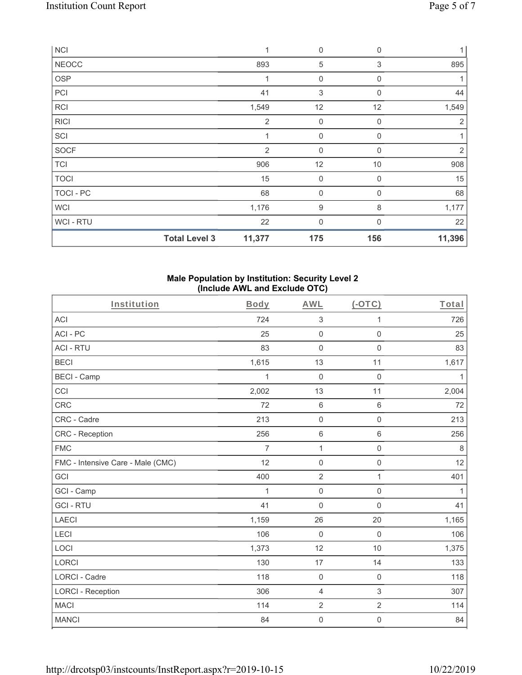| <b>NCI</b>       |                      | 1              | 0                | $\mathbf 0$      | 1 <sup>1</sup> |
|------------------|----------------------|----------------|------------------|------------------|----------------|
| <b>NEOCC</b>     |                      | 893            | 5                | 3                | 895            |
| <b>OSP</b>       |                      | 1              | $\boldsymbol{0}$ | 0                | 1              |
| PCI              |                      | 41             | 3                | 0                | 44             |
| RCI              |                      | 1,549          | 12               | 12               | 1,549          |
| <b>RICI</b>      |                      | $\overline{2}$ | $\boldsymbol{0}$ | $\boldsymbol{0}$ | $\overline{2}$ |
| SCI              |                      |                | $\mathbf 0$      | 0                |                |
| <b>SOCF</b>      |                      | 2              | $\mathbf 0$      | $\Omega$         | $\overline{2}$ |
| <b>TCI</b>       |                      | 906            | 12               | 10               | 908            |
| <b>TOCI</b>      |                      | 15             | $\mathbf 0$      | $\mathbf 0$      | 15             |
| <b>TOCI - PC</b> |                      | 68             | $\mathbf 0$      | $\mathbf 0$      | 68             |
| <b>WCI</b>       |                      | 1,176          | $\boldsymbol{9}$ | 8                | 1,177          |
| WCI - RTU        |                      | 22             | $\mathbf 0$      | 0                | 22             |
|                  | <b>Total Level 3</b> | 11,377         | 175              | 156              | 11,396         |

## **Male Population by Institution: Security Level 2 (Include AWL and Exclude OTC)**

| Institution                       | Body           | <b>AWL</b>                | $(-OTC)$            | Total        |
|-----------------------------------|----------------|---------------------------|---------------------|--------------|
| ACI                               | 724            | $\ensuremath{\mathsf{3}}$ | 1                   | 726          |
| ACI-PC                            | 25             | $\mathsf 0$               | $\mathbf 0$         | 25           |
| <b>ACI - RTU</b>                  | 83             | $\mathbf 0$               | $\mathbf 0$         | 83           |
| <b>BECI</b>                       | 1,615          | 13                        | 11                  | 1,617        |
| <b>BECI - Camp</b>                | 1              | $\mathbf 0$               | $\mathbf 0$         | $\mathbf{1}$ |
| CCI                               | 2,002          | 13                        | 11                  | 2,004        |
| <b>CRC</b>                        | 72             | $\,6\,$                   | 6                   | 72           |
| CRC - Cadre                       | 213            | $\mathsf 0$               | $\mathbf 0$         | 213          |
| <b>CRC</b> - Reception            | 256            | $\,6\,$                   | 6                   | 256          |
| <b>FMC</b>                        | $\overline{7}$ | 1                         | $\mathsf 0$         | $\,8\,$      |
| FMC - Intensive Care - Male (CMC) | 12             | $\mathsf 0$               | $\mathsf{O}\xspace$ | 12           |
| GCI                               | 400            | $\overline{2}$            | 1                   | 401          |
| GCI - Camp                        | 1              | $\mathsf 0$               | $\mathbf 0$         | 1            |
| <b>GCI-RTU</b>                    | 41             | $\mathbf 0$               | $\mathsf 0$         | 41           |
| <b>LAECI</b>                      | 1,159          | 26                        | 20                  | 1,165        |
| LECI                              | 106            | $\Omega$                  | $\mathbf 0$         | 106          |
| LOCI                              | 1,373          | 12                        | 10                  | 1,375        |
| <b>LORCI</b>                      | 130            | 17                        | 14                  | 133          |
| LORCI - Cadre                     | 118            | $\mathsf{O}\xspace$       | $\mathbf 0$         | 118          |
| <b>LORCI - Reception</b>          | 306            | $\overline{4}$            | $\sqrt{3}$          | 307          |
| <b>MACI</b>                       | 114            | $\overline{2}$            | $\overline{2}$      | 114          |
| <b>MANCI</b>                      | 84             | $\mathsf{O}\xspace$       | 0                   | 84           |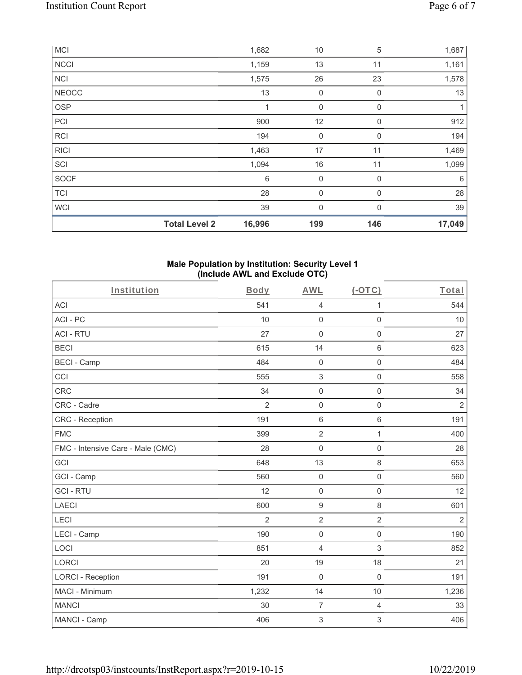|              | <b>Total Level 2</b> | 16,996 | 199            | 146         | 17,049 |
|--------------|----------------------|--------|----------------|-------------|--------|
| <b>WCI</b>   |                      | 39     | $\overline{0}$ | $\Omega$    | 39     |
| <b>TCI</b>   |                      | 28     | 0              | $\Omega$    | 28     |
| <b>SOCF</b>  |                      | 6      | $\mathbf 0$    | $\Omega$    | 6      |
| SCI          |                      | 1,094  | 16             | 11          | 1,099  |
| <b>RICI</b>  |                      | 1,463  | 17             | 11          | 1,469  |
| <b>RCI</b>   |                      | 194    | 0              | $\mathbf 0$ | 194    |
| PCI          |                      | 900    | 12             | $\mathbf 0$ | 912    |
| <b>OSP</b>   |                      | 1      | $\mathbf 0$    | 0           | 1      |
| <b>NEOCC</b> |                      | 13     | $\mathbf 0$    | $\mathbf 0$ | 13     |
| <b>NCI</b>   |                      | 1,575  | 26             | 23          | 1,578  |
| <b>NCCI</b>  |                      | 1,159  | 13             | 11          | 1,161  |
| <b>MCI</b>   |                      | 1,682  | 10             | 5           | 1,687  |

#### **Male Population by Institution: Security Level 1 (Include AWL and Exclude OTC)**

| Institution                       | <b>Body</b>    | <b>AWL</b>          | (OTC)               | Total          |
|-----------------------------------|----------------|---------------------|---------------------|----------------|
| <b>ACI</b>                        | 541            | $\overline{4}$      | 1                   | 544            |
| ACI-PC                            | 10             | $\mathsf 0$         | 0                   | 10             |
| <b>ACI - RTU</b>                  | 27             | $\mathbf 0$         | 0                   | 27             |
| <b>BECI</b>                       | 615            | 14                  | $\,6\,$             | 623            |
| <b>BECI - Camp</b>                | 484            | $\mathbf 0$         | $\mathsf{O}\xspace$ | 484            |
| CCI                               | 555            | $\sqrt{3}$          | $\mathsf{O}\xspace$ | 558            |
| <b>CRC</b>                        | 34             | $\mathsf{O}\xspace$ | $\mathsf{O}\xspace$ | 34             |
| CRC - Cadre                       | $\overline{2}$ | $\mathbf 0$         | $\mathbf 0$         | $\overline{2}$ |
| <b>CRC</b> - Reception            | 191            | $\,6\,$             | $\,6\,$             | 191            |
| <b>FMC</b>                        | 399            | $\sqrt{2}$          | 1                   | 400            |
| FMC - Intensive Care - Male (CMC) | 28             | $\mathbf 0$         | $\mathbf 0$         | 28             |
| GCI                               | 648            | 13                  | 8                   | 653            |
| GCI - Camp                        | 560            | $\mathbf 0$         | $\mathbf 0$         | 560            |
| <b>GCI-RTU</b>                    | 12             | $\mathbf 0$         | $\mathbf 0$         | 12             |
| <b>LAECI</b>                      | 600            | $\boldsymbol{9}$    | 8                   | 601            |
| LECI                              | $\overline{2}$ | $\overline{2}$      | $\overline{2}$      | $\overline{2}$ |
| LECI - Camp                       | 190            | $\mathbf 0$         | $\mathbf 0$         | 190            |
| LOCI                              | 851            | $\overline{4}$      | $\mathfrak{S}$      | 852            |
| <b>LORCI</b>                      | 20             | 19                  | 18                  | 21             |
| <b>LORCI - Reception</b>          | 191            | $\mathbf 0$         | $\mathsf 0$         | 191            |
| MACI - Minimum                    | 1,232          | 14                  | 10                  | 1,236          |
| <b>MANCI</b>                      | 30             | $\overline{7}$      | 4                   | 33             |
| MANCI - Camp                      | 406            | 3                   | 3                   | 406            |